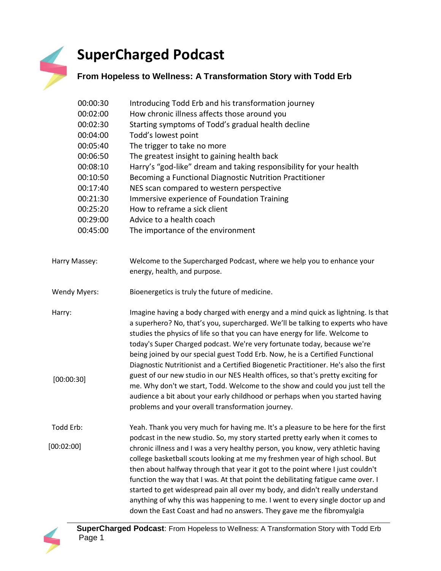## **SuperCharged Podcast**

## **From Hopeless to Wellness: A Transformation Story with Todd Erb**

| 00:00:30<br>00:02:00<br>00:02:30<br>00:04:00<br>00:05:40<br>00:06:50<br>00:08:10<br>00:10:50<br>00:17:40<br>00:21:30<br>00:25:20<br>00:29:00<br>00:45:00 | Introducing Todd Erb and his transformation journey<br>How chronic illness affects those around you<br>Starting symptoms of Todd's gradual health decline<br>Todd's lowest point<br>The trigger to take no more<br>The greatest insight to gaining health back<br>Harry's "god-like" dream and taking responsibility for your health<br>Becoming a Functional Diagnostic Nutrition Practitioner<br>NES scan compared to western perspective<br>Immersive experience of Foundation Training<br>How to reframe a sick client<br>Advice to a health coach<br>The importance of the environment                                                                                                                                                                                                                        |
|----------------------------------------------------------------------------------------------------------------------------------------------------------|--------------------------------------------------------------------------------------------------------------------------------------------------------------------------------------------------------------------------------------------------------------------------------------------------------------------------------------------------------------------------------------------------------------------------------------------------------------------------------------------------------------------------------------------------------------------------------------------------------------------------------------------------------------------------------------------------------------------------------------------------------------------------------------------------------------------|
| Harry Massey:                                                                                                                                            | Welcome to the Supercharged Podcast, where we help you to enhance your<br>energy, health, and purpose.                                                                                                                                                                                                                                                                                                                                                                                                                                                                                                                                                                                                                                                                                                             |
| <b>Wendy Myers:</b>                                                                                                                                      | Bioenergetics is truly the future of medicine.                                                                                                                                                                                                                                                                                                                                                                                                                                                                                                                                                                                                                                                                                                                                                                     |
| Harry:<br>[00:00:30]                                                                                                                                     | Imagine having a body charged with energy and a mind quick as lightning. Is that<br>a superhero? No, that's you, supercharged. We'll be talking to experts who have<br>studies the physics of life so that you can have energy for life. Welcome to<br>today's Super Charged podcast. We're very fortunate today, because we're<br>being joined by our special guest Todd Erb. Now, he is a Certified Functional<br>Diagnostic Nutritionist and a Certified Biogenetic Practitioner. He's also the first<br>guest of our new studio in our NES Health offices, so that's pretty exciting for<br>me. Why don't we start, Todd. Welcome to the show and could you just tell the<br>audience a bit about your early childhood or perhaps when you started having<br>problems and your overall transformation journey. |
| Todd Erb:                                                                                                                                                | Yeah. Thank you very much for having me. It's a pleasure to be here for the first                                                                                                                                                                                                                                                                                                                                                                                                                                                                                                                                                                                                                                                                                                                                  |
| [00:02:00]                                                                                                                                               | podcast in the new studio. So, my story started pretty early when it comes to<br>chronic illness and I was a very healthy person, you know, very athletic having<br>college basketball scouts looking at me my freshmen year of high school. But<br>then about halfway through that year it got to the point where I just couldn't<br>function the way that I was. At that point the debilitating fatigue came over. I<br>started to get widespread pain all over my body, and didn't really understand<br>anything of why this was happening to me. I went to every single doctor up and<br>down the East Coast and had no answers. They gave me the fibromyalgia                                                                                                                                                 |

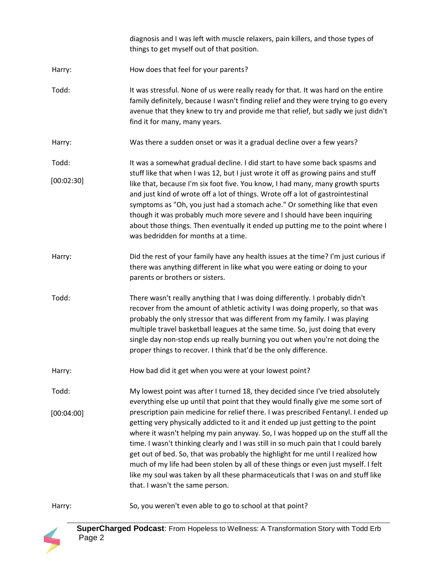|            | diagnosis and I was left with muscle relaxers, pain killers, and those types of<br>things to get myself out of that position.                                                                                                                                                                                                                                                                                                                                                                                                                                                                                                                     |
|------------|---------------------------------------------------------------------------------------------------------------------------------------------------------------------------------------------------------------------------------------------------------------------------------------------------------------------------------------------------------------------------------------------------------------------------------------------------------------------------------------------------------------------------------------------------------------------------------------------------------------------------------------------------|
| Harry:     | How does that feel for your parents?                                                                                                                                                                                                                                                                                                                                                                                                                                                                                                                                                                                                              |
| Todd:      | It was stressful. None of us were really ready for that. It was hard on the entire<br>family definitely, because I wasn't finding relief and they were trying to go every<br>avenue that they knew to try and provide me that relief, but sadly we just didn't<br>find it for many, many years.                                                                                                                                                                                                                                                                                                                                                   |
| Harry:     | Was there a sudden onset or was it a gradual decline over a few years?                                                                                                                                                                                                                                                                                                                                                                                                                                                                                                                                                                            |
| Todd:      | It was a somewhat gradual decline. I did start to have some back spasms and                                                                                                                                                                                                                                                                                                                                                                                                                                                                                                                                                                       |
| [00:02:30] | stuff like that when I was 12, but I just wrote it off as growing pains and stuff<br>like that, because I'm six foot five. You know, I had many, many growth spurts<br>and just kind of wrote off a lot of things. Wrote off a lot of gastrointestinal<br>symptoms as "Oh, you just had a stomach ache." Or something like that even<br>though it was probably much more severe and I should have been inquiring<br>about those things. Then eventually it ended up putting me to the point where I<br>was bedridden for months at a time.                                                                                                        |
| Harry:     | Did the rest of your family have any health issues at the time? I'm just curious if<br>there was anything different in like what you were eating or doing to your<br>parents or brothers or sisters.                                                                                                                                                                                                                                                                                                                                                                                                                                              |
| Todd:      | There wasn't really anything that I was doing differently. I probably didn't<br>recover from the amount of athletic activity I was doing properly, so that was<br>probably the only stressor that was different from my family. I was playing<br>multiple travel basketball leagues at the same time. So, just doing that every<br>single day non-stop ends up really burning you out when you're not doing the<br>proper things to recover. I think that'd be the only difference.                                                                                                                                                               |
| Harry:     | How bad did it get when you were at your lowest point?                                                                                                                                                                                                                                                                                                                                                                                                                                                                                                                                                                                            |
| Todd:      | My lowest point was after I turned 18, they decided since I've tried absolutely<br>everything else up until that point that they would finally give me some sort of                                                                                                                                                                                                                                                                                                                                                                                                                                                                               |
| [00:04:00] | prescription pain medicine for relief there. I was prescribed Fentanyl. I ended up<br>getting very physically addicted to it and it ended up just getting to the point<br>where it wasn't helping my pain anyway. So, I was hopped up on the stuff all the<br>time. I wasn't thinking clearly and I was still in so much pain that I could barely<br>get out of bed. So, that was probably the highlight for me until I realized how<br>much of my life had been stolen by all of these things or even just myself. I felt<br>like my soul was taken by all these pharmaceuticals that I was on and stuff like<br>that. I wasn't the same person. |

Harry: So, you weren't even able to go to school at that point?

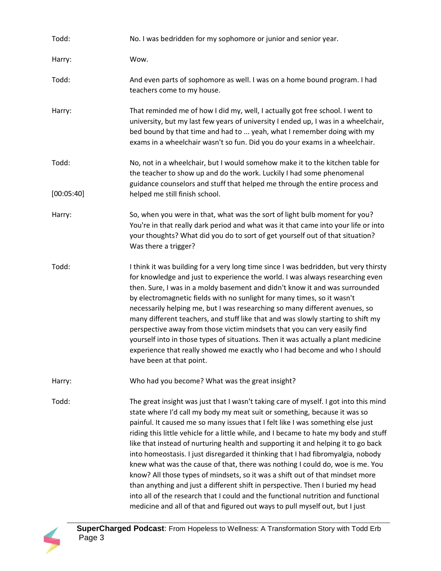| Todd:      | No. I was bedridden for my sophomore or junior and senior year.                                                                                                                                                                                                                                                                                                                                                                                                                                                                                                                                                                                                                                                                                                                                                                                                                                                                                 |
|------------|-------------------------------------------------------------------------------------------------------------------------------------------------------------------------------------------------------------------------------------------------------------------------------------------------------------------------------------------------------------------------------------------------------------------------------------------------------------------------------------------------------------------------------------------------------------------------------------------------------------------------------------------------------------------------------------------------------------------------------------------------------------------------------------------------------------------------------------------------------------------------------------------------------------------------------------------------|
| Harry:     | Wow.                                                                                                                                                                                                                                                                                                                                                                                                                                                                                                                                                                                                                                                                                                                                                                                                                                                                                                                                            |
| Todd:      | And even parts of sophomore as well. I was on a home bound program. I had<br>teachers come to my house.                                                                                                                                                                                                                                                                                                                                                                                                                                                                                                                                                                                                                                                                                                                                                                                                                                         |
| Harry:     | That reminded me of how I did my, well, I actually got free school. I went to<br>university, but my last few years of university I ended up, I was in a wheelchair,<br>bed bound by that time and had to  yeah, what I remember doing with my<br>exams in a wheelchair wasn't so fun. Did you do your exams in a wheelchair.                                                                                                                                                                                                                                                                                                                                                                                                                                                                                                                                                                                                                    |
| Todd:      | No, not in a wheelchair, but I would somehow make it to the kitchen table for<br>the teacher to show up and do the work. Luckily I had some phenomenal<br>guidance counselors and stuff that helped me through the entire process and                                                                                                                                                                                                                                                                                                                                                                                                                                                                                                                                                                                                                                                                                                           |
| [00:05:40] | helped me still finish school.                                                                                                                                                                                                                                                                                                                                                                                                                                                                                                                                                                                                                                                                                                                                                                                                                                                                                                                  |
| Harry:     | So, when you were in that, what was the sort of light bulb moment for you?<br>You're in that really dark period and what was it that came into your life or into<br>your thoughts? What did you do to sort of get yourself out of that situation?<br>Was there a trigger?                                                                                                                                                                                                                                                                                                                                                                                                                                                                                                                                                                                                                                                                       |
| Todd:      | I think it was building for a very long time since I was bedridden, but very thirsty<br>for knowledge and just to experience the world. I was always researching even<br>then. Sure, I was in a moldy basement and didn't know it and was surrounded<br>by electromagnetic fields with no sunlight for many times, so it wasn't<br>necessarily helping me, but I was researching so many different avenues, so<br>many different teachers, and stuff like that and was slowly starting to shift my<br>perspective away from those victim mindsets that you can very easily find<br>yourself into in those types of situations. Then it was actually a plant medicine<br>experience that really showed me exactly who I had become and who I should<br>have been at that point.                                                                                                                                                                  |
| Harry:     | Who had you become? What was the great insight?                                                                                                                                                                                                                                                                                                                                                                                                                                                                                                                                                                                                                                                                                                                                                                                                                                                                                                 |
| Todd:      | The great insight was just that I wasn't taking care of myself. I got into this mind<br>state where I'd call my body my meat suit or something, because it was so<br>painful. It caused me so many issues that I felt like I was something else just<br>riding this little vehicle for a little while, and I became to hate my body and stuff<br>like that instead of nurturing health and supporting it and helping it to go back<br>into homeostasis. I just disregarded it thinking that I had fibromyalgia, nobody<br>knew what was the cause of that, there was nothing I could do, woe is me. You<br>know? All those types of mindsets, so it was a shift out of that mindset more<br>than anything and just a different shift in perspective. Then I buried my head<br>into all of the research that I could and the functional nutrition and functional<br>medicine and all of that and figured out ways to pull myself out, but I just |

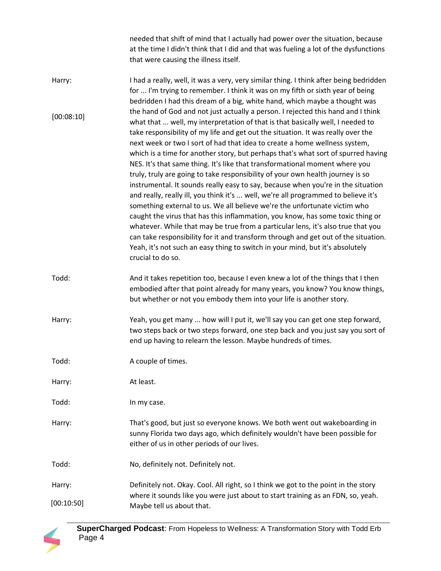needed that shift of mind that I actually had power over the situation, because at the time I didn't think that I did and that was fueling a lot of the dysfunctions that were causing the illness itself.

- Harry: I had a really, well, it was a very, very similar thing. I think after being bedridden for ... I'm trying to remember. I think it was on my fifth or sixth year of being bedridden I had this dream of a big, white hand, which maybe a thought was the hand of God and not just actually a person. I rejected this hand and I think what that ... well, my interpretation of that is that basically well, I needed to take responsibility of my life and get out the situation. It was really over the next week or two I sort of had that idea to create a home wellness system, which is a time for another story, but perhaps that's what sort of spurred having NES. It's that same thing. It's like that transformational moment where you truly, truly are going to take responsibility of your own health journey is so instrumental. It sounds really easy to say, because when you're in the situation and really, really ill, you think it's ... well, we're all programmed to believe it's something external to us. We all believe we're the unfortunate victim who caught the virus that has this inflammation, you know, has some toxic thing or whatever. While that may be true from a particular lens, it's also true that you can take responsibility for it and transform through and get out of the situation. Yeah, it's not such an easy thing to switch in your mind, but it's absolutely crucial to do so. [00:08:10]
- Todd: And it takes repetition too, because I even knew a lot of the things that I then embodied after that point already for many years, you know? You know things, but whether or not you embody them into your life is another story.
- Harry: Yeah, you get many ... how will I put it, we'll say you can get one step forward, two steps back or two steps forward, one step back and you just say you sort of end up having to relearn the lesson. Maybe hundreds of times.
- Todd: A couple of times.
- Harry: At least.
- Todd: In my case.
- Harry: That's good, but just so everyone knows. We both went out wakeboarding in sunny Florida two days ago, which definitely wouldn't have been possible for either of us in other periods of our lives.
- Todd: No, definitely not. Definitely not.
- Harry: Definitely not. Okay. Cool. All right, so I think we got to the point in the story where it sounds like you were just about to start training as an FDN, so, yeah. Maybe tell us about that. [00:10:50]

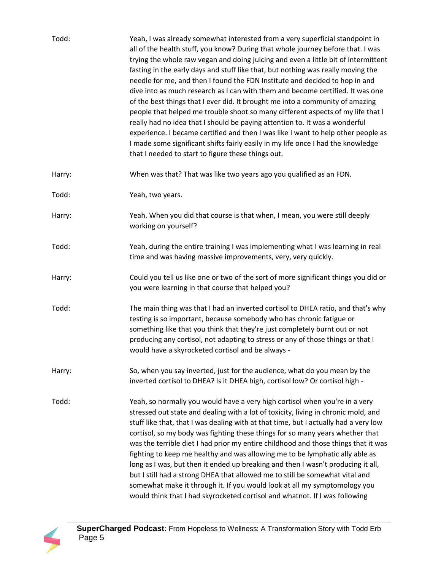| Todd:  | Yeah, I was already somewhat interested from a very superficial standpoint in<br>all of the health stuff, you know? During that whole journey before that. I was<br>trying the whole raw vegan and doing juicing and even a little bit of intermittent<br>fasting in the early days and stuff like that, but nothing was really moving the<br>needle for me, and then I found the FDN Institute and decided to hop in and<br>dive into as much research as I can with them and become certified. It was one<br>of the best things that I ever did. It brought me into a community of amazing<br>people that helped me trouble shoot so many different aspects of my life that I<br>really had no idea that I should be paying attention to. It was a wonderful<br>experience. I became certified and then I was like I want to help other people as<br>I made some significant shifts fairly easily in my life once I had the knowledge<br>that I needed to start to figure these things out. |
|--------|-----------------------------------------------------------------------------------------------------------------------------------------------------------------------------------------------------------------------------------------------------------------------------------------------------------------------------------------------------------------------------------------------------------------------------------------------------------------------------------------------------------------------------------------------------------------------------------------------------------------------------------------------------------------------------------------------------------------------------------------------------------------------------------------------------------------------------------------------------------------------------------------------------------------------------------------------------------------------------------------------|
| Harry: | When was that? That was like two years ago you qualified as an FDN.                                                                                                                                                                                                                                                                                                                                                                                                                                                                                                                                                                                                                                                                                                                                                                                                                                                                                                                           |
| Todd:  | Yeah, two years.                                                                                                                                                                                                                                                                                                                                                                                                                                                                                                                                                                                                                                                                                                                                                                                                                                                                                                                                                                              |
| Harry: | Yeah. When you did that course is that when, I mean, you were still deeply<br>working on yourself?                                                                                                                                                                                                                                                                                                                                                                                                                                                                                                                                                                                                                                                                                                                                                                                                                                                                                            |
| Todd:  | Yeah, during the entire training I was implementing what I was learning in real<br>time and was having massive improvements, very, very quickly.                                                                                                                                                                                                                                                                                                                                                                                                                                                                                                                                                                                                                                                                                                                                                                                                                                              |
| Harry: | Could you tell us like one or two of the sort of more significant things you did or<br>you were learning in that course that helped you?                                                                                                                                                                                                                                                                                                                                                                                                                                                                                                                                                                                                                                                                                                                                                                                                                                                      |
| Todd:  | The main thing was that I had an inverted cortisol to DHEA ratio, and that's why<br>testing is so important, because somebody who has chronic fatigue or<br>something like that you think that they're just completely burnt out or not<br>producing any cortisol, not adapting to stress or any of those things or that I<br>would have a skyrocketed cortisol and be always -                                                                                                                                                                                                                                                                                                                                                                                                                                                                                                                                                                                                               |
| Harry: | So, when you say inverted, just for the audience, what do you mean by the<br>inverted cortisol to DHEA? Is it DHEA high, cortisol low? Or cortisol high -                                                                                                                                                                                                                                                                                                                                                                                                                                                                                                                                                                                                                                                                                                                                                                                                                                     |
| Todd:  | Yeah, so normally you would have a very high cortisol when you're in a very<br>stressed out state and dealing with a lot of toxicity, living in chronic mold, and<br>stuff like that, that I was dealing with at that time, but I actually had a very low<br>cortisol, so my body was fighting these things for so many years whether that<br>was the terrible diet I had prior my entire childhood and those things that it was<br>fighting to keep me healthy and was allowing me to be lymphatic ally able as<br>long as I was, but then it ended up breaking and then I wasn't producing it all,<br>but I still had a strong DHEA that allowed me to still be somewhat vital and<br>somewhat make it through it. If you would look at all my symptomology you<br>would think that I had skyrocketed cortisol and whatnot. If I was following                                                                                                                                              |

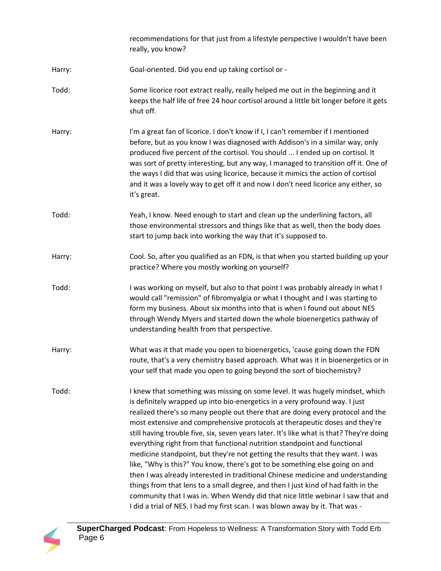|        | recommendations for that just from a lifestyle perspective I wouldn't have been<br>really, you know?                                                                                                                                                                                                                                                                                                                                                                                                                                                                                                                                                                                                                                                                                                                                                                                                                                                                                                                  |
|--------|-----------------------------------------------------------------------------------------------------------------------------------------------------------------------------------------------------------------------------------------------------------------------------------------------------------------------------------------------------------------------------------------------------------------------------------------------------------------------------------------------------------------------------------------------------------------------------------------------------------------------------------------------------------------------------------------------------------------------------------------------------------------------------------------------------------------------------------------------------------------------------------------------------------------------------------------------------------------------------------------------------------------------|
| Harry: | Goal-oriented. Did you end up taking cortisol or -                                                                                                                                                                                                                                                                                                                                                                                                                                                                                                                                                                                                                                                                                                                                                                                                                                                                                                                                                                    |
| Todd:  | Some licorice root extract really, really helped me out in the beginning and it<br>keeps the half life of free 24 hour cortisol around a little bit longer before it gets<br>shut off.                                                                                                                                                                                                                                                                                                                                                                                                                                                                                                                                                                                                                                                                                                                                                                                                                                |
| Harry: | I'm a great fan of licorice. I don't know if I, I can't remember if I mentioned<br>before, but as you know I was diagnosed with Addison's in a similar way, only<br>produced five percent of the cortisol. You should  I ended up on cortisol. It<br>was sort of pretty interesting, but any way, I managed to transition off it. One of<br>the ways I did that was using licorice, because it mimics the action of cortisol<br>and it was a lovely way to get off it and now I don't need licorice any either, so<br>it's great.                                                                                                                                                                                                                                                                                                                                                                                                                                                                                     |
| Todd:  | Yeah, I know. Need enough to start and clean up the underlining factors, all<br>those environmental stressors and things like that as well, then the body does<br>start to jump back into working the way that it's supposed to.                                                                                                                                                                                                                                                                                                                                                                                                                                                                                                                                                                                                                                                                                                                                                                                      |
| Harry: | Cool. So, after you qualified as an FDN, is that when you started building up your<br>practice? Where you mostly working on yourself?                                                                                                                                                                                                                                                                                                                                                                                                                                                                                                                                                                                                                                                                                                                                                                                                                                                                                 |
| Todd:  | I was working on myself, but also to that point I was probably already in what I<br>would call "remission" of fibromyalgia or what I thought and I was starting to<br>form my business. About six months into that is when I found out about NES<br>through Wendy Myers and started down the whole bioenergetics pathway of<br>understanding health from that perspective.                                                                                                                                                                                                                                                                                                                                                                                                                                                                                                                                                                                                                                            |
| Harry: | What was it that made you open to bioenergetics, 'cause going down the FDN<br>route, that's a very chemistry based approach. What was it in bioenergetics or in<br>your self that made you open to going beyond the sort of biochemistry?                                                                                                                                                                                                                                                                                                                                                                                                                                                                                                                                                                                                                                                                                                                                                                             |
| Todd:  | I knew that something was missing on some level. It was hugely mindset, which<br>is definitely wrapped up into bio-energetics in a very profound way. I just<br>realized there's so many people out there that are doing every protocol and the<br>most extensive and comprehensive protocols at therapeutic doses and they're<br>still having trouble five, six, seven years later. It's like what is that? They're doing<br>everything right from that functional nutrition standpoint and functional<br>medicine standpoint, but they're not getting the results that they want. I was<br>like, "Why is this?" You know, there's got to be something else going on and<br>then I was already interested in traditional Chinese medicine and understanding<br>things from that lens to a small degree, and then I just kind of had faith in the<br>community that I was in. When Wendy did that nice little webinar I saw that and<br>I did a trial of NES. I had my first scan. I was blown away by it. That was - |

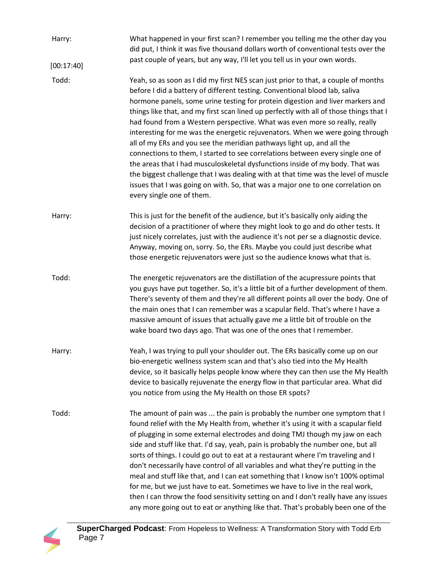| Harry:     | What happened in your first scan? I remember you telling me the other day you<br>did put, I think it was five thousand dollars worth of conventional tests over the                                                                                                                                                                                                                                                                                                                                                                                                                                                                                                                                                                                                                                                                                                                                                                                            |
|------------|----------------------------------------------------------------------------------------------------------------------------------------------------------------------------------------------------------------------------------------------------------------------------------------------------------------------------------------------------------------------------------------------------------------------------------------------------------------------------------------------------------------------------------------------------------------------------------------------------------------------------------------------------------------------------------------------------------------------------------------------------------------------------------------------------------------------------------------------------------------------------------------------------------------------------------------------------------------|
| [00:17:40] | past couple of years, but any way, I'll let you tell us in your own words.                                                                                                                                                                                                                                                                                                                                                                                                                                                                                                                                                                                                                                                                                                                                                                                                                                                                                     |
| Todd:      | Yeah, so as soon as I did my first NES scan just prior to that, a couple of months<br>before I did a battery of different testing. Conventional blood lab, saliva<br>hormone panels, some urine testing for protein digestion and liver markers and<br>things like that, and my first scan lined up perfectly with all of those things that I<br>had found from a Western perspective. What was even more so really, really<br>interesting for me was the energetic rejuvenators. When we were going through<br>all of my ERs and you see the meridian pathways light up, and all the<br>connections to them, I started to see correlations between every single one of<br>the areas that I had musculoskeletal dysfunctions inside of my body. That was<br>the biggest challenge that I was dealing with at that time was the level of muscle<br>issues that I was going on with. So, that was a major one to one correlation on<br>every single one of them. |
| Harry:     | This is just for the benefit of the audience, but it's basically only aiding the<br>decision of a practitioner of where they might look to go and do other tests. It<br>just nicely correlates, just with the audience it's not per se a diagnostic device.<br>Anyway, moving on, sorry. So, the ERs. Maybe you could just describe what<br>those energetic rejuvenators were just so the audience knows what that is.                                                                                                                                                                                                                                                                                                                                                                                                                                                                                                                                         |
| Todd:      | The energetic rejuvenators are the distillation of the acupressure points that<br>you guys have put together. So, it's a little bit of a further development of them.<br>There's seventy of them and they're all different points all over the body. One of<br>the main ones that I can remember was a scapular field. That's where I have a<br>massive amount of issues that actually gave me a little bit of trouble on the<br>wake board two days ago. That was one of the ones that I remember.                                                                                                                                                                                                                                                                                                                                                                                                                                                            |
| Harry:     | Yeah, I was trying to pull your shoulder out. The ERs basically come up on our<br>bio-energetic wellness system scan and that's also tied into the My Health<br>device, so it basically helps people know where they can then use the My Health<br>device to basically rejuvenate the energy flow in that particular area. What did<br>you notice from using the My Health on those ER spots?                                                                                                                                                                                                                                                                                                                                                                                                                                                                                                                                                                  |
| Todd:      | The amount of pain was  the pain is probably the number one symptom that I<br>found relief with the My Health from, whether it's using it with a scapular field<br>of plugging in some external electrodes and doing TMJ though my jaw on each<br>side and stuff like that. I'd say, yeah, pain is probably the number one, but all<br>sorts of things. I could go out to eat at a restaurant where I'm traveling and I<br>don't necessarily have control of all variables and what they're putting in the<br>meal and stuff like that, and I can eat something that I know isn't 100% optimal<br>for me, but we just have to eat. Sometimes we have to live in the real work,<br>then I can throw the food sensitivity setting on and I don't really have any issues<br>any more going out to eat or anything like that. That's probably been one of the                                                                                                      |

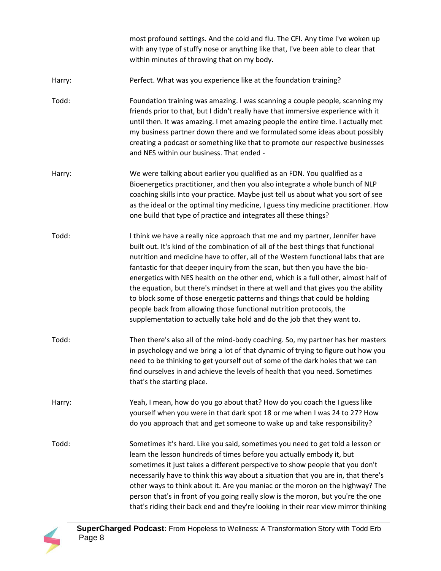most profound settings. And the cold and flu. The CFI. Any time I've woken up with any type of stuffy nose or anything like that, I've been able to clear that within minutes of throwing that on my body.

- Harry: Perfect. What was you experience like at the foundation training?
- Todd: Foundation training was amazing. I was scanning a couple people, scanning my friends prior to that, but I didn't really have that immersive experience with it until then. It was amazing. I met amazing people the entire time. I actually met my business partner down there and we formulated some ideas about possibly creating a podcast or something like that to promote our respective businesses and NES within our business. That ended -
- Harry: We were talking about earlier you qualified as an FDN. You qualified as a Bioenergetics practitioner, and then you also integrate a whole bunch of NLP coaching skills into your practice. Maybe just tell us about what you sort of see as the ideal or the optimal tiny medicine, I guess tiny medicine practitioner. How one build that type of practice and integrates all these things?
- Todd: I think we have a really nice approach that me and my partner, Jennifer have built out. It's kind of the combination of all of the best things that functional nutrition and medicine have to offer, all of the Western functional labs that are fantastic for that deeper inquiry from the scan, but then you have the bioenergetics with NES health on the other end, which is a full other, almost half of the equation, but there's mindset in there at well and that gives you the ability to block some of those energetic patterns and things that could be holding people back from allowing those functional nutrition protocols, the supplementation to actually take hold and do the job that they want to.
- Todd: Then there's also all of the mind-body coaching. So, my partner has her masters in psychology and we bring a lot of that dynamic of trying to figure out how you need to be thinking to get yourself out of some of the dark holes that we can find ourselves in and achieve the levels of health that you need. Sometimes that's the starting place.
- Harry: Yeah, I mean, how do you go about that? How do you coach the I guess like yourself when you were in that dark spot 18 or me when I was 24 to 27? How do you approach that and get someone to wake up and take responsibility?
- Todd: Sometimes it's hard. Like you said, sometimes you need to get told a lesson or learn the lesson hundreds of times before you actually embody it, but sometimes it just takes a different perspective to show people that you don't necessarily have to think this way about a situation that you are in, that there's other ways to think about it. Are you maniac or the moron on the highway? The person that's in front of you going really slow is the moron, but you're the one that's riding their back end and they're looking in their rear view mirror thinking

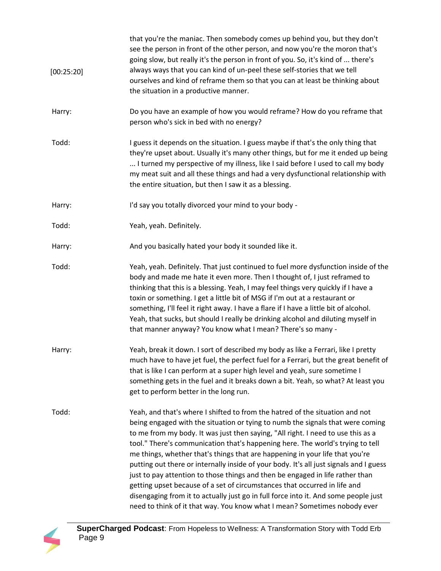| [00:25:20] | that you're the maniac. Then somebody comes up behind you, but they don't<br>see the person in front of the other person, and now you're the moron that's<br>going slow, but really it's the person in front of you. So, it's kind of  there's<br>always ways that you can kind of un-peel these self-stories that we tell<br>ourselves and kind of reframe them so that you can at least be thinking about<br>the situation in a productive manner.                                                                                                                                                                                                                                                                                                                                                                                             |
|------------|--------------------------------------------------------------------------------------------------------------------------------------------------------------------------------------------------------------------------------------------------------------------------------------------------------------------------------------------------------------------------------------------------------------------------------------------------------------------------------------------------------------------------------------------------------------------------------------------------------------------------------------------------------------------------------------------------------------------------------------------------------------------------------------------------------------------------------------------------|
| Harry:     | Do you have an example of how you would reframe? How do you reframe that<br>person who's sick in bed with no energy?                                                                                                                                                                                                                                                                                                                                                                                                                                                                                                                                                                                                                                                                                                                             |
| Todd:      | I guess it depends on the situation. I guess maybe if that's the only thing that<br>they're upset about. Usually it's many other things, but for me it ended up being<br>I turned my perspective of my illness, like I said before I used to call my body<br>my meat suit and all these things and had a very dysfunctional relationship with<br>the entire situation, but then I saw it as a blessing.                                                                                                                                                                                                                                                                                                                                                                                                                                          |
| Harry:     | I'd say you totally divorced your mind to your body -                                                                                                                                                                                                                                                                                                                                                                                                                                                                                                                                                                                                                                                                                                                                                                                            |
| Todd:      | Yeah, yeah. Definitely.                                                                                                                                                                                                                                                                                                                                                                                                                                                                                                                                                                                                                                                                                                                                                                                                                          |
| Harry:     | And you basically hated your body it sounded like it.                                                                                                                                                                                                                                                                                                                                                                                                                                                                                                                                                                                                                                                                                                                                                                                            |
| Todd:      | Yeah, yeah. Definitely. That just continued to fuel more dysfunction inside of the<br>body and made me hate it even more. Then I thought of, I just reframed to<br>thinking that this is a blessing. Yeah, I may feel things very quickly if I have a<br>toxin or something. I get a little bit of MSG if I'm out at a restaurant or<br>something, I'll feel it right away. I have a flare if I have a little bit of alcohol.<br>Yeah, that sucks, but should I really be drinking alcohol and diluting myself in<br>that manner anyway? You know what I mean? There's so many -                                                                                                                                                                                                                                                                 |
| Harry:     | Yeah, break it down. I sort of described my body as like a Ferrari, like I pretty<br>much have to have jet fuel, the perfect fuel for a Ferrari, but the great benefit of<br>that is like I can perform at a super high level and yeah, sure sometime I<br>something gets in the fuel and it breaks down a bit. Yeah, so what? At least you<br>get to perform better in the long run.                                                                                                                                                                                                                                                                                                                                                                                                                                                            |
| Todd:      | Yeah, and that's where I shifted to from the hatred of the situation and not<br>being engaged with the situation or tying to numb the signals that were coming<br>to me from my body. It was just then saying, "All right. I need to use this as a<br>tool." There's communication that's happening here. The world's trying to tell<br>me things, whether that's things that are happening in your life that you're<br>putting out there or internally inside of your body. It's all just signals and I guess<br>just to pay attention to those things and then be engaged in life rather than<br>getting upset because of a set of circumstances that occurred in life and<br>disengaging from it to actually just go in full force into it. And some people just<br>need to think of it that way. You know what I mean? Sometimes nobody ever |

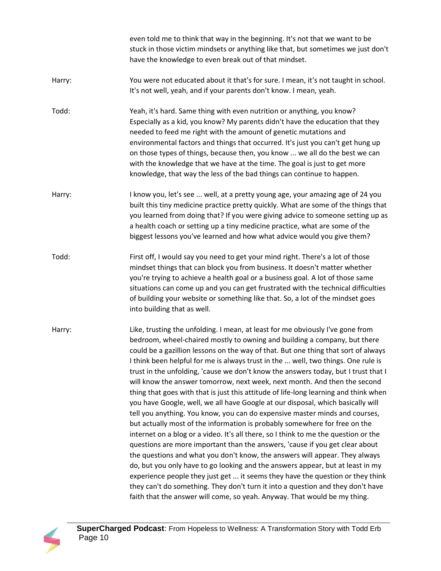|        | even told me to think that way in the beginning. It's not that we want to be<br>stuck in those victim mindsets or anything like that, but sometimes we just don't<br>have the knowledge to even break out of that mindset.                                                                                                                                                                                                                                                                                                                                                                                                                                                                                                                                                                                                                                                                                                                                                                                                                                                                                                                                                                                                                                                                                                                                                                                                                  |
|--------|---------------------------------------------------------------------------------------------------------------------------------------------------------------------------------------------------------------------------------------------------------------------------------------------------------------------------------------------------------------------------------------------------------------------------------------------------------------------------------------------------------------------------------------------------------------------------------------------------------------------------------------------------------------------------------------------------------------------------------------------------------------------------------------------------------------------------------------------------------------------------------------------------------------------------------------------------------------------------------------------------------------------------------------------------------------------------------------------------------------------------------------------------------------------------------------------------------------------------------------------------------------------------------------------------------------------------------------------------------------------------------------------------------------------------------------------|
| Harry: | You were not educated about it that's for sure. I mean, it's not taught in school.<br>It's not well, yeah, and if your parents don't know. I mean, yeah.                                                                                                                                                                                                                                                                                                                                                                                                                                                                                                                                                                                                                                                                                                                                                                                                                                                                                                                                                                                                                                                                                                                                                                                                                                                                                    |
| Todd:  | Yeah, it's hard. Same thing with even nutrition or anything, you know?<br>Especially as a kid, you know? My parents didn't have the education that they<br>needed to feed me right with the amount of genetic mutations and<br>environmental factors and things that occurred. It's just you can't get hung up<br>on those types of things, because then, you know  we all do the best we can<br>with the knowledge that we have at the time. The goal is just to get more<br>knowledge, that way the less of the bad things can continue to happen.                                                                                                                                                                                                                                                                                                                                                                                                                                                                                                                                                                                                                                                                                                                                                                                                                                                                                        |
| Harry: | I know you, let's see  well, at a pretty young age, your amazing age of 24 you<br>built this tiny medicine practice pretty quickly. What are some of the things that<br>you learned from doing that? If you were giving advice to someone setting up as<br>a health coach or setting up a tiny medicine practice, what are some of the<br>biggest lessons you've learned and how what advice would you give them?                                                                                                                                                                                                                                                                                                                                                                                                                                                                                                                                                                                                                                                                                                                                                                                                                                                                                                                                                                                                                           |
| Todd:  | First off, I would say you need to get your mind right. There's a lot of those<br>mindset things that can block you from business. It doesn't matter whether<br>you're trying to achieve a health goal or a business goal. A lot of those same<br>situations can come up and you can get frustrated with the technical difficulties<br>of building your website or something like that. So, a lot of the mindset goes<br>into building that as well.                                                                                                                                                                                                                                                                                                                                                                                                                                                                                                                                                                                                                                                                                                                                                                                                                                                                                                                                                                                        |
| Harry: | Like, trusting the unfolding. I mean, at least for me obviously I've gone from<br>bedroom, wheel-chaired mostly to owning and building a company, but there<br>could be a gazillion lessons on the way of that. But one thing that sort of always<br>I think been helpful for me is always trust in the  well, two things. One rule is<br>trust in the unfolding, 'cause we don't know the answers today, but I trust that I<br>will know the answer tomorrow, next week, next month. And then the second<br>thing that goes with that is just this attitude of life-long learning and think when<br>you have Google, well, we all have Google at our disposal, which basically will<br>tell you anything. You know, you can do expensive master minds and courses,<br>but actually most of the information is probably somewhere for free on the<br>internet on a blog or a video. It's all there, so I think to me the question or the<br>questions are more important than the answers, 'cause if you get clear about<br>the questions and what you don't know, the answers will appear. They always<br>do, but you only have to go looking and the answers appear, but at least in my<br>experience people they just get  it seems they have the question or they think<br>they can't do something. They don't turn it into a question and they don't have<br>faith that the answer will come, so yeah. Anyway. That would be my thing. |

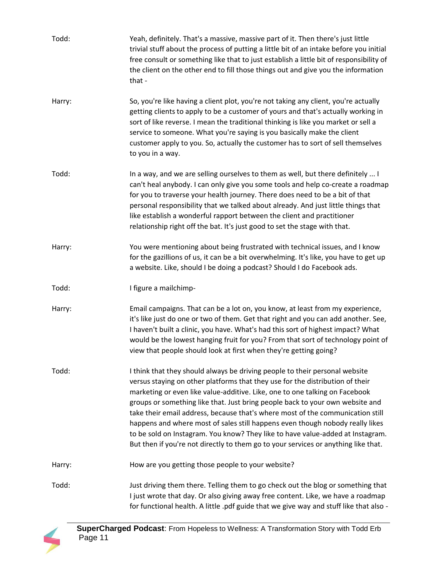| Todd:  | Yeah, definitely. That's a massive, massive part of it. Then there's just little<br>trivial stuff about the process of putting a little bit of an intake before you initial<br>free consult or something like that to just establish a little bit of responsibility of<br>the client on the other end to fill those things out and give you the information<br>that -                                                                                                                                                                                                                                                                                                   |
|--------|-------------------------------------------------------------------------------------------------------------------------------------------------------------------------------------------------------------------------------------------------------------------------------------------------------------------------------------------------------------------------------------------------------------------------------------------------------------------------------------------------------------------------------------------------------------------------------------------------------------------------------------------------------------------------|
| Harry: | So, you're like having a client plot, you're not taking any client, you're actually<br>getting clients to apply to be a customer of yours and that's actually working in<br>sort of like reverse. I mean the traditional thinking is like you market or sell a<br>service to someone. What you're saying is you basically make the client<br>customer apply to you. So, actually the customer has to sort of sell themselves<br>to you in a way.                                                                                                                                                                                                                        |
| Todd:  | In a way, and we are selling ourselves to them as well, but there definitely  I<br>can't heal anybody. I can only give you some tools and help co-create a roadmap<br>for you to traverse your health journey. There does need to be a bit of that<br>personal responsibility that we talked about already. And just little things that<br>like establish a wonderful rapport between the client and practitioner<br>relationship right off the bat. It's just good to set the stage with that.                                                                                                                                                                         |
| Harry: | You were mentioning about being frustrated with technical issues, and I know<br>for the gazillions of us, it can be a bit overwhelming. It's like, you have to get up<br>a website. Like, should I be doing a podcast? Should I do Facebook ads.                                                                                                                                                                                                                                                                                                                                                                                                                        |
| Todd:  | I figure a mailchimp-                                                                                                                                                                                                                                                                                                                                                                                                                                                                                                                                                                                                                                                   |
| Harry: | Email campaigns. That can be a lot on, you know, at least from my experience,<br>it's like just do one or two of them. Get that right and you can add another. See,<br>I haven't built a clinic, you have. What's had this sort of highest impact? What<br>would be the lowest hanging fruit for you? From that sort of technology point of<br>view that people should look at first when they're getting going?                                                                                                                                                                                                                                                        |
| Todd:  | I think that they should always be driving people to their personal website<br>versus staying on other platforms that they use for the distribution of their<br>marketing or even like value-additive. Like, one to one talking on Facebook<br>groups or something like that. Just bring people back to your own website and<br>take their email address, because that's where most of the communication still<br>happens and where most of sales still happens even though nobody really likes<br>to be sold on Instagram. You know? They like to have value-added at Instagram.<br>But then if you're not directly to them go to your services or anything like that. |
| Harry: | How are you getting those people to your website?                                                                                                                                                                                                                                                                                                                                                                                                                                                                                                                                                                                                                       |
| Todd:  | Just driving them there. Telling them to go check out the blog or something that<br>I just wrote that day. Or also giving away free content. Like, we have a roadmap<br>for functional health. A little .pdf guide that we give way and stuff like that also -                                                                                                                                                                                                                                                                                                                                                                                                          |

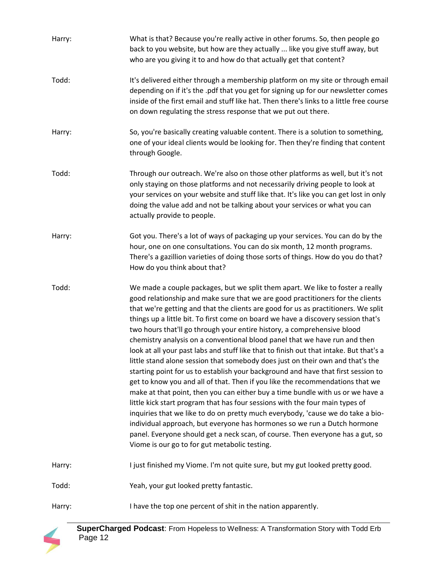| Harry: | What is that? Because you're really active in other forums. So, then people go<br>back to you website, but how are they actually  like you give stuff away, but<br>who are you giving it to and how do that actually get that content?                                                                                                                                                                                                                                                                                                                                                                                                                                                                                                                                                                                                                                                                                                                                                                                                                                                                                                                                                                                                                                                                                     |
|--------|----------------------------------------------------------------------------------------------------------------------------------------------------------------------------------------------------------------------------------------------------------------------------------------------------------------------------------------------------------------------------------------------------------------------------------------------------------------------------------------------------------------------------------------------------------------------------------------------------------------------------------------------------------------------------------------------------------------------------------------------------------------------------------------------------------------------------------------------------------------------------------------------------------------------------------------------------------------------------------------------------------------------------------------------------------------------------------------------------------------------------------------------------------------------------------------------------------------------------------------------------------------------------------------------------------------------------|
| Todd:  | It's delivered either through a membership platform on my site or through email<br>depending on if it's the .pdf that you get for signing up for our newsletter comes<br>inside of the first email and stuff like hat. Then there's links to a little free course<br>on down regulating the stress response that we put out there.                                                                                                                                                                                                                                                                                                                                                                                                                                                                                                                                                                                                                                                                                                                                                                                                                                                                                                                                                                                         |
| Harry: | So, you're basically creating valuable content. There is a solution to something,<br>one of your ideal clients would be looking for. Then they're finding that content<br>through Google.                                                                                                                                                                                                                                                                                                                                                                                                                                                                                                                                                                                                                                                                                                                                                                                                                                                                                                                                                                                                                                                                                                                                  |
| Todd:  | Through our outreach. We're also on those other platforms as well, but it's not<br>only staying on those platforms and not necessarily driving people to look at<br>your services on your website and stuff like that. It's like you can get lost in only<br>doing the value add and not be talking about your services or what you can<br>actually provide to people.                                                                                                                                                                                                                                                                                                                                                                                                                                                                                                                                                                                                                                                                                                                                                                                                                                                                                                                                                     |
| Harry: | Got you. There's a lot of ways of packaging up your services. You can do by the<br>hour, one on one consultations. You can do six month, 12 month programs.<br>There's a gazillion varieties of doing those sorts of things. How do you do that?<br>How do you think about that?                                                                                                                                                                                                                                                                                                                                                                                                                                                                                                                                                                                                                                                                                                                                                                                                                                                                                                                                                                                                                                           |
| Todd:  | We made a couple packages, but we split them apart. We like to foster a really<br>good relationship and make sure that we are good practitioners for the clients<br>that we're getting and that the clients are good for us as practitioners. We split<br>things up a little bit. To first come on board we have a discovery session that's<br>two hours that'll go through your entire history, a comprehensive blood<br>chemistry analysis on a conventional blood panel that we have run and then<br>look at all your past labs and stuff like that to finish out that intake. But that's a<br>little stand alone session that somebody does just on their own and that's the<br>starting point for us to establish your background and have that first session to<br>get to know you and all of that. Then if you like the recommendations that we<br>make at that point, then you can either buy a time bundle with us or we have a<br>little kick start program that has four sessions with the four main types of<br>inquiries that we like to do on pretty much everybody, 'cause we do take a bio-<br>individual approach, but everyone has hormones so we run a Dutch hormone<br>panel. Everyone should get a neck scan, of course. Then everyone has a gut, so<br>Viome is our go to for gut metabolic testing. |
| Harry: | I just finished my Viome. I'm not quite sure, but my gut looked pretty good.                                                                                                                                                                                                                                                                                                                                                                                                                                                                                                                                                                                                                                                                                                                                                                                                                                                                                                                                                                                                                                                                                                                                                                                                                                               |
| Todd:  | Yeah, your gut looked pretty fantastic.                                                                                                                                                                                                                                                                                                                                                                                                                                                                                                                                                                                                                                                                                                                                                                                                                                                                                                                                                                                                                                                                                                                                                                                                                                                                                    |
| Harry: | I have the top one percent of shit in the nation apparently.                                                                                                                                                                                                                                                                                                                                                                                                                                                                                                                                                                                                                                                                                                                                                                                                                                                                                                                                                                                                                                                                                                                                                                                                                                                               |

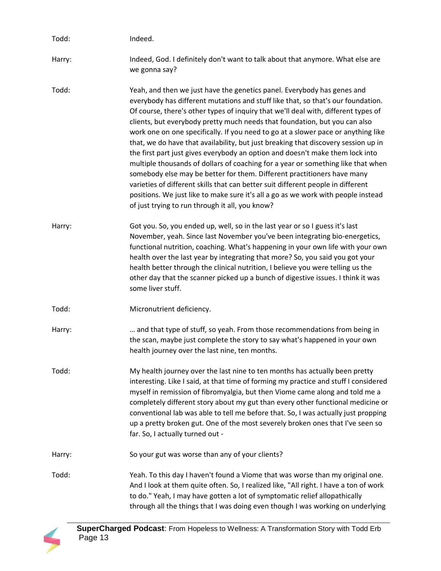| Todd:  | Indeed.                                                                                                                                                                                                                                                                                                                                                                                                                                                                                                                                                                                                                                                                                                                                                                                                                                                                                                                                                                                |
|--------|----------------------------------------------------------------------------------------------------------------------------------------------------------------------------------------------------------------------------------------------------------------------------------------------------------------------------------------------------------------------------------------------------------------------------------------------------------------------------------------------------------------------------------------------------------------------------------------------------------------------------------------------------------------------------------------------------------------------------------------------------------------------------------------------------------------------------------------------------------------------------------------------------------------------------------------------------------------------------------------|
| Harry: | Indeed, God. I definitely don't want to talk about that anymore. What else are<br>we gonna say?                                                                                                                                                                                                                                                                                                                                                                                                                                                                                                                                                                                                                                                                                                                                                                                                                                                                                        |
| Todd:  | Yeah, and then we just have the genetics panel. Everybody has genes and<br>everybody has different mutations and stuff like that, so that's our foundation.<br>Of course, there's other types of inquiry that we'll deal with, different types of<br>clients, but everybody pretty much needs that foundation, but you can also<br>work one on one specifically. If you need to go at a slower pace or anything like<br>that, we do have that availability, but just breaking that discovery session up in<br>the first part just gives everybody an option and doesn't make them lock into<br>multiple thousands of dollars of coaching for a year or something like that when<br>somebody else may be better for them. Different practitioners have many<br>varieties of different skills that can better suit different people in different<br>positions. We just like to make sure it's all a go as we work with people instead<br>of just trying to run through it all, you know? |
| Harry: | Got you. So, you ended up, well, so in the last year or so I guess it's last<br>November, yeah. Since last November you've been integrating bio-energetics,<br>functional nutrition, coaching. What's happening in your own life with your own<br>health over the last year by integrating that more? So, you said you got your<br>health better through the clinical nutrition, I believe you were telling us the<br>other day that the scanner picked up a bunch of digestive issues. I think it was<br>some liver stuff.                                                                                                                                                                                                                                                                                                                                                                                                                                                            |
| Todd:  | Micronutrient deficiency.                                                                                                                                                                                                                                                                                                                                                                                                                                                                                                                                                                                                                                                                                                                                                                                                                                                                                                                                                              |
| Harry: | and that type of stuff, so yeah. From those recommendations from being in<br>the scan, maybe just complete the story to say what's happened in your own<br>health journey over the last nine, ten months.                                                                                                                                                                                                                                                                                                                                                                                                                                                                                                                                                                                                                                                                                                                                                                              |
| Todd:  | My health journey over the last nine to ten months has actually been pretty<br>interesting. Like I said, at that time of forming my practice and stuff I considered<br>myself in remission of fibromyalgia, but then Viome came along and told me a<br>completely different story about my gut than every other functional medicine or<br>conventional lab was able to tell me before that. So, I was actually just propping<br>up a pretty broken gut. One of the most severely broken ones that I've seen so<br>far. So, I actually turned out -                                                                                                                                                                                                                                                                                                                                                                                                                                     |
| Harry: | So your gut was worse than any of your clients?                                                                                                                                                                                                                                                                                                                                                                                                                                                                                                                                                                                                                                                                                                                                                                                                                                                                                                                                        |
| Todd:  | Yeah. To this day I haven't found a Viome that was worse than my original one.<br>And I look at them quite often. So, I realized like, "All right. I have a ton of work<br>to do." Yeah, I may have gotten a lot of symptomatic relief allopathically<br>through all the things that I was doing even though I was working on underlying                                                                                                                                                                                                                                                                                                                                                                                                                                                                                                                                                                                                                                               |

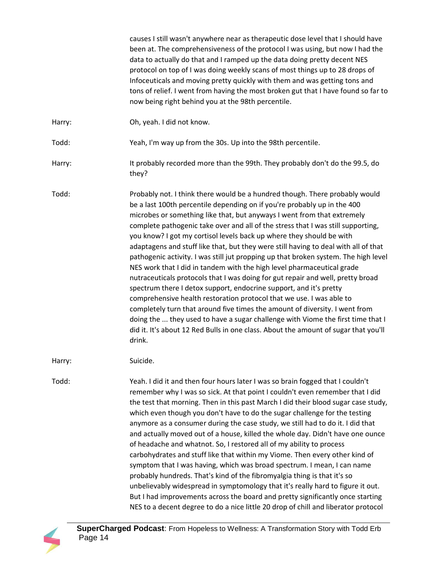causes I still wasn't anywhere near as therapeutic dose level that I should have been at. The comprehensiveness of the protocol I was using, but now I had the data to actually do that and I ramped up the data doing pretty decent NES protocol on top of I was doing weekly scans of most things up to 28 drops of Infoceuticals and moving pretty quickly with them and was getting tons and tons of relief. I went from having the most broken gut that I have found so far to now being right behind you at the 98th percentile. Harry: Ch, yeah. I did not know. Todd: Yeah, I'm way up from the 30s. Up into the 98th percentile. Harry: It probably recorded more than the 99th. They probably don't do the 99.5, do they? Todd: Probably not. I think there would be a hundred though. There probably would be a last 100th percentile depending on if you're probably up in the 400 microbes or something like that, but anyways I went from that extremely complete pathogenic take over and all of the stress that I was still supporting, you know? I got my cortisol levels back up where they should be with adaptagens and stuff like that, but they were still having to deal with all of that pathogenic activity. I was still jut propping up that broken system. The high level NES work that I did in tandem with the high level pharmaceutical grade nutraceuticals protocols that I was doing for gut repair and well, pretty broad spectrum there I detox support, endocrine support, and it's pretty comprehensive health restoration protocol that we use. I was able to completely turn that around five times the amount of diversity. I went from doing the ... they used to have a sugar challenge with Viome the first time that I did it. It's about 12 Red Bulls in one class. About the amount of sugar that you'll drink. Harry: Suicide. Todd: Yeah. I did it and then four hours later I was so brain fogged that I couldn't remember why I was so sick. At that point I couldn't even remember that I did the test that morning. Then in this past March I did their blood sugar case study, which even though you don't have to do the sugar challenge for the testing anymore as a consumer during the case study, we still had to do it. I did that and actually moved out of a house, killed the whole day. Didn't have one ounce of headache and whatnot. So, I restored all of my ability to process carbohydrates and stuff like that within my Viome. Then every other kind of symptom that I was having, which was broad spectrum. I mean, I can name probably hundreds. That's kind of the fibromyalgia thing is that it's so unbelievably widespread in symptomology that it's really hard to figure it out. But I had improvements across the board and pretty significantly once starting NES to a decent degree to do a nice little 20 drop of chill and liberator protocol

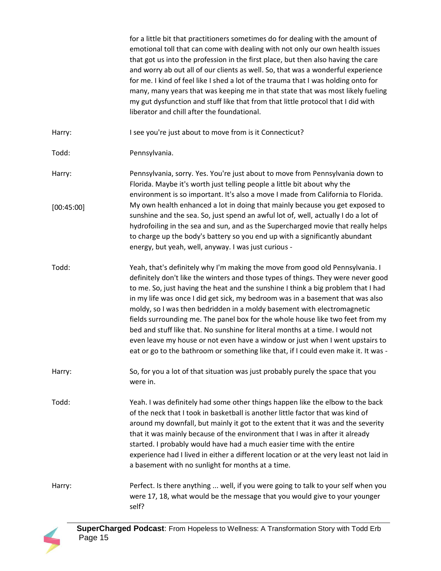for a little bit that practitioners sometimes do for dealing with the amount of emotional toll that can come with dealing with not only our own health issues that got us into the profession in the first place, but then also having the care and worry ab out all of our clients as well. So, that was a wonderful experience for me. I kind of feel like I shed a lot of the trauma that I was holding onto for many, many years that was keeping me in that state that was most likely fueling my gut dysfunction and stuff like that from that little protocol that I did with liberator and chill after the foundational.

Harry: I see you're just about to move from is it Connecticut?

Todd: Pennsylvania.

Harry: Pennsylvania, sorry. Yes. You're just about to move from Pennsylvania down to Florida. Maybe it's worth just telling people a little bit about why the environment is so important. It's also a move I made from California to Florida. My own health enhanced a lot in doing that mainly because you get exposed to sunshine and the sea. So, just spend an awful lot of, well, actually I do a lot of hydrofoiling in the sea and sun, and as the Supercharged movie that really helps to charge up the body's battery so you end up with a significantly abundant energy, but yeah, well, anyway. I was just curious - [00:45:00]

Todd: Yeah, that's definitely why I'm making the move from good old Pennsylvania. I definitely don't like the winters and those types of things. They were never good to me. So, just having the heat and the sunshine I think a big problem that I had in my life was once I did get sick, my bedroom was in a basement that was also moldy, so I was then bedridden in a moldy basement with electromagnetic fields surrounding me. The panel box for the whole house like two feet from my bed and stuff like that. No sunshine for literal months at a time. I would not even leave my house or not even have a window or just when I went upstairs to eat or go to the bathroom or something like that, if I could even make it. It was -

Harry: So, for you a lot of that situation was just probably purely the space that you were in.

Todd: Yeah. I was definitely had some other things happen like the elbow to the back of the neck that I took in basketball is another little factor that was kind of around my downfall, but mainly it got to the extent that it was and the severity that it was mainly because of the environment that I was in after it already started. I probably would have had a much easier time with the entire experience had I lived in either a different location or at the very least not laid in a basement with no sunlight for months at a time.

Harry: Perfect. Is there anything ... well, if you were going to talk to your self when you were 17, 18, what would be the message that you would give to your younger self?